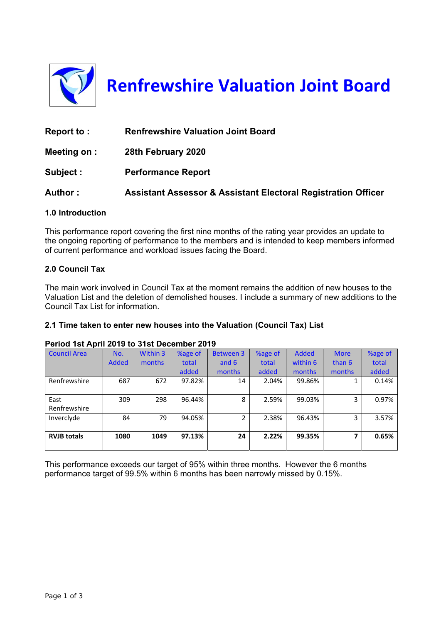

**Renfrewshire Valuation Joint Board**

| Report to:   | <b>Renfrewshire Valuation Joint Board</b>                                |
|--------------|--------------------------------------------------------------------------|
| Meeting on : | 28th February 2020                                                       |
| Subject:     | <b>Performance Report</b>                                                |
| Author:      | <b>Assistant Assessor &amp; Assistant Electoral Registration Officer</b> |

# **1.0 Introduction**

This performance report covering the first nine months of the rating year provides an update to the ongoing reporting of performance to the members and is intended to keep members informed of current performance and workload issues facing the Board.

#### **2.0 Council Tax**

The main work involved in Council Tax at the moment remains the addition of new houses to the Valuation List and the deletion of demolished houses. I include a summary of new additions to the Council Tax List for information.

# **2.1 Time taken to enter new houses into the Valuation (Council Tax) List**

#### **Period 1st April 2019 to 31st December 2019**

| <b>Council Area</b>  | No.          | Within 3 | %age of | <b>Between 3</b> | %age of | <b>Added</b> | <b>More</b> | %age of |
|----------------------|--------------|----------|---------|------------------|---------|--------------|-------------|---------|
|                      | <b>Added</b> | months   | total   | and 6            | total   | within 6     | than 6      | total   |
|                      |              |          | added   | months           | added   | months       | months      | added   |
| Renfrewshire         | 687          | 672      | 97.82%  | 14               | 2.04%   | 99.86%       |             | 0.14%   |
| East<br>Renfrewshire | 309          | 298      | 96.44%  | 8                | 2.59%   | 99.03%       | 3           | 0.97%   |
| Invercivde           | 84           | 79       | 94.05%  | 2                | 2.38%   | 96.43%       | 3           | 3.57%   |
| <b>RVJB totals</b>   | 1080         | 1049     | 97.13%  | 24               | 2.22%   | 99.35%       |             | 0.65%   |

This performance exceeds our target of 95% within three months. However the 6 months performance target of 99.5% within 6 months has been narrowly missed by 0.15%.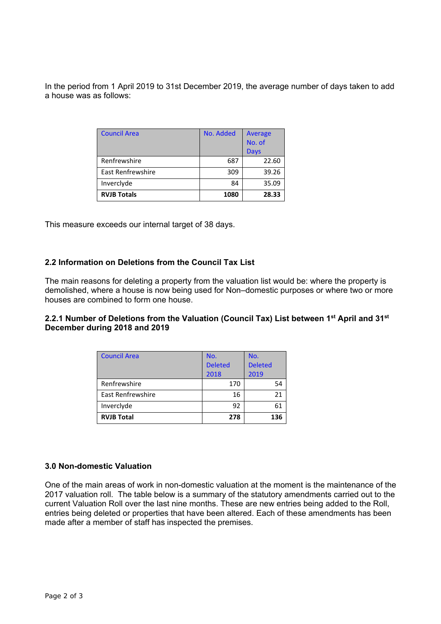In the period from 1 April 2019 to 31st December 2019, the average number of days taken to add a house was as follows:

| <b>Council Area</b> | No. Added | Average<br>No. of |  |
|---------------------|-----------|-------------------|--|
|                     |           | Days              |  |
| Renfrewshire        | 687       | 22.60             |  |
| East Renfrewshire   | 309       | 39.26             |  |
| Inverclyde          | 84        | 35.09             |  |
| <b>RVJB Totals</b>  | 1080      | 28.33             |  |

This measure exceeds our internal target of 38 days.

# **2.2 Information on Deletions from the Council Tax List**

The main reasons for deleting a property from the valuation list would be: where the property is demolished, where a house is now being used for Non–domestic purposes or where two or more houses are combined to form one house.

# **2.2.1 Number of Deletions from the Valuation (Council Tax) List between 1st April and 31st December during 2018 and 2019**

| <b>Council Area</b>      | No.            | No.            |  |
|--------------------------|----------------|----------------|--|
|                          | <b>Deleted</b> | <b>Deleted</b> |  |
|                          | 2018           | 2019           |  |
| Renfrewshire             | 170            | 54             |  |
| <b>East Renfrewshire</b> | 16             | 21             |  |
| Inverclyde               | 92             | 61             |  |
| <b>RVJB Total</b>        | 278            | 136            |  |

#### **3.0 Non-domestic Valuation**

One of the main areas of work in non-domestic valuation at the moment is the maintenance of the 2017 valuation roll. The table below is a summary of the statutory amendments carried out to the current Valuation Roll over the last nine months. These are new entries being added to the Roll, entries being deleted or properties that have been altered. Each of these amendments has been made after a member of staff has inspected the premises.